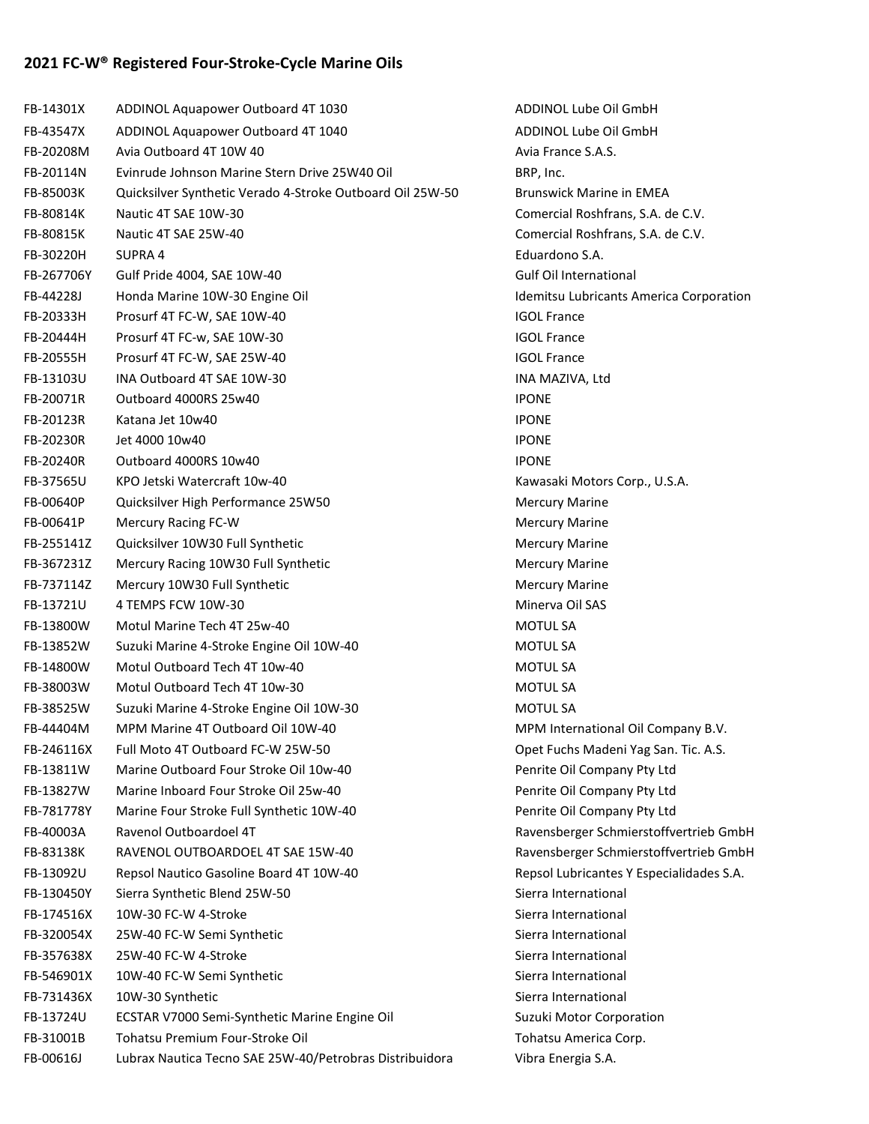## 2021 FC-W® Registered Four-Stroke-Cycle Marine Oils

| FB-14301X  | ADDINOL Aquapower Outboard 4T 1030                        | ADDINOL Lube          |
|------------|-----------------------------------------------------------|-----------------------|
| FB-43547X  | ADDINOL Aquapower Outboard 4T 1040                        | ADDINOL Lube          |
| FB-20208M  | Avia Outboard 4T 10W 40                                   | Avia France S.A.      |
| FB-20114N  | Evinrude Johnson Marine Stern Drive 25W40 Oil             | BRP, Inc.             |
| FB-85003K  | Quicksilver Synthetic Verado 4-Stroke Outboard Oil 25W-50 | <b>Brunswick Mari</b> |
| FB-80814K  | Nautic 4T SAE 10W-30                                      | <b>Comercial Rosh</b> |
| FB-80815K  | Nautic 4T SAE 25W-40                                      | <b>Comercial Rosh</b> |
| FB-30220H  | SUPRA 4                                                   | Eduardono S.A.        |
| FB-267706Y | Gulf Pride 4004, SAE 10W-40                               | Gulf Oil Internat     |
| FB-44228J  | Honda Marine 10W-30 Engine Oil                            | Idemitsu Lubric       |
| FB-20333H  | Prosurf 4T FC-W, SAE 10W-40                               | <b>IGOL France</b>    |
| FB-20444H  | Prosurf 4T FC-w, SAE 10W-30                               | <b>IGOL France</b>    |
| FB-20555H  | Prosurf 4T FC-W, SAE 25W-40                               | <b>IGOL France</b>    |
| FB-13103U  | INA Outboard 4T SAE 10W-30                                | INA MAZIVA, Lt        |
| FB-20071R  | Outboard 4000RS 25w40                                     | <b>IPONE</b>          |
| FB-20123R  | Katana Jet 10w40                                          | <b>IPONE</b>          |
| FB-20230R  | Jet 4000 10w40                                            | <b>IPONE</b>          |
| FB-20240R  | Outboard 4000RS 10w40                                     | <b>IPONE</b>          |
| FB-37565U  | KPO Jetski Watercraft 10w-40                              | Kawasaki Moto         |
| FB-00640P  | Quicksilver High Performance 25W50                        | <b>Mercury Marine</b> |
| FB-00641P  | Mercury Racing FC-W                                       | <b>Mercury Marine</b> |
| FB-255141Z | Quicksilver 10W30 Full Synthetic                          | <b>Mercury Marine</b> |
| FB-367231Z | Mercury Racing 10W30 Full Synthetic                       | <b>Mercury Marine</b> |
| FB-737114Z | Mercury 10W30 Full Synthetic                              | <b>Mercury Marine</b> |
| FB-13721U  | 4 TEMPS FCW 10W-30                                        | Minerva Oil SAS       |
| FB-13800W  | Motul Marine Tech 4T 25w-40                               | <b>MOTUL SA</b>       |
| FB-13852W  | Suzuki Marine 4-Stroke Engine Oil 10W-40                  | <b>MOTUL SA</b>       |
| FB-14800W  | Motul Outboard Tech 4T 10w-40                             | <b>MOTUL SA</b>       |
| FB-38003W  | Motul Outboard Tech 4T 10w-30                             | <b>MOTUL SA</b>       |
| FB-38525W  | Suzuki Marine 4-Stroke Engine Oil 10W-30                  | <b>MOTUL SA</b>       |
| FB-44404M  | MPM Marine 4T Outboard Oil 10W-40                         | <b>MPM</b> Internatio |
| FB-246116X | Full Moto 4T Outboard FC-W 25W-50                         | Opet Fuchs Ma         |
| FB-13811W  | Marine Outboard Four Stroke Oil 10w-40                    | Penrite Oil Com       |
| FB-13827W  | Marine Inboard Four Stroke Oil 25w-40                     | Penrite Oil Com       |
| FB-781778Y | Marine Four Stroke Full Synthetic 10W-40                  | Penrite Oil Com       |
| FB-40003A  | Ravenol Outboardoel 4T                                    | Ravensberger S        |
| FB-83138K  | RAVENOL OUTBOARDOEL 4T SAE 15W-40                         | Ravensberger S        |
| FB-13092U  | Repsol Nautico Gasoline Board 4T 10W-40                   | Repsol Lubrican       |
| FB-130450Y | Sierra Synthetic Blend 25W-50                             | Sierra Internatio     |
| FB-174516X | 10W-30 FC-W 4-Stroke                                      | Sierra Internatio     |
| FB-320054X | 25W-40 FC-W Semi Synthetic                                | Sierra Internatio     |
| FB-357638X | 25W-40 FC-W 4-Stroke                                      | Sierra Internatio     |
| FB-546901X | 10W-40 FC-W Semi Synthetic                                | Sierra Internatio     |
| FB-731436X | 10W-30 Synthetic                                          | Sierra Internatio     |
| FB-13724U  | ECSTAR V7000 Semi-Synthetic Marine Engine Oil             | Suzuki Motor Co       |
| FB-31001B  | Tohatsu Premium Four-Stroke Oil                           | <b>Tohatsu Americ</b> |
| FB-00616J  | Lubrax Nautica Tecno SAE 25W-40/Petrobras Distribuidora   | Vibra Energia S.      |
|            |                                                           |                       |

ADDINOL Lube Oil GmbH ADDINOL Lube Oil GmbH Avia France S.A.S. Brunswick Marine in EMEA Comercial Roshfrans, S.A. de C.V. Comercial Roshfrans, S.A. de C.V. Gulf Oil International Idemitsu Lubricants America Corporation INA MAZIVA, Ltd Kawasaki Motors Corp., U.S.A. Mercury Marine Mercury Marine Mercury Marine Mercury Marine Mercury Marine Minerva Oil SAS MPM International Oil Company B.V. Opet Fuchs Madeni Yag San. Tic. A.S. Penrite Oil Company Pty Ltd Penrite Oil Company Pty Ltd Penrite Oil Company Pty Ltd Ravensberger Schmierstoffvertrieb GmbH Ravensberger Schmierstoffvertrieb GmbH Repsol Lubricantes Y Especialidades S.A. Sierra International Sierra International Sierra International Sierra International Sierra International Sierra International Suzuki Motor Corporation Tohatsu America Corp. Vibra Energia S.A.